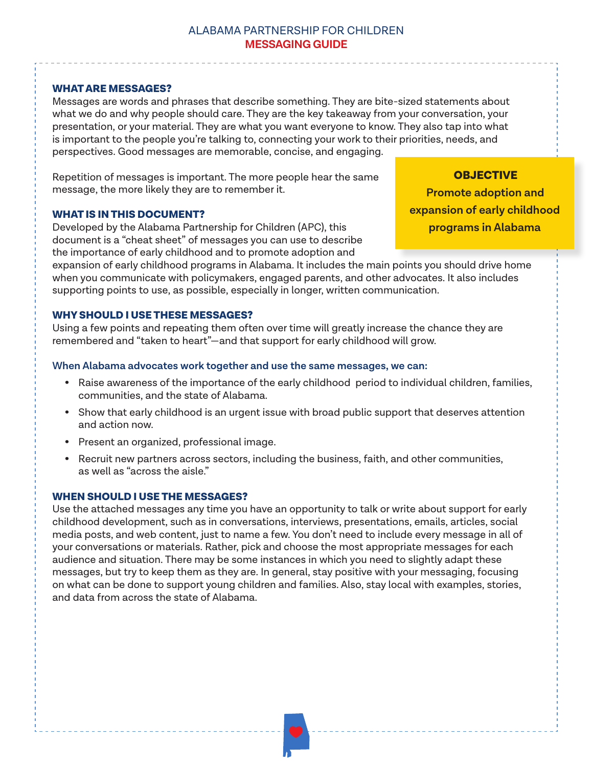# ALABAMA PARTNERSHIP FOR CHILDREN **MESSAGING GUIDE**

# WHAT ARE MESSAGES?

Messages are words and phrases that describe something. They are bite-sized statements about what we do and why people should care. They are the key takeaway from your conversation, your presentation, or your material. They are what you want everyone to know. They also tap into what is important to the people you're talking to, connecting your work to their priorities, needs, and perspectives. Good messages are memorable, concise, and engaging.

Repetition of messages is important. The more people hear the same message, the more likely they are to remember it.

## WHAT IS IN THIS DOCUMENT?

Developed by the Alabama Partnership for Children (APC), this document is a "cheat sheet" of messages you can use to describe the importance of early childhood and to promote adoption and

**expansion of early childhood programs in Alabama**

**OBJECTIVE Promote adoption and**

expansion of early childhood programs in Alabama. It includes the main points you should drive home when you communicate with policymakers, engaged parents, and other advocates. It also includes supporting points to use, as possible, especially in longer, written communication.

# WHY SHOULD I USE THESE MESSAGES?

Using a few points and repeating them often over time will greatly increase the chance they are remembered and "taken to heart"—and that support for early childhood will grow.

## **When Alabama advocates work together and use the same messages, we can:**

- Raise awareness of the importance of the early childhood period to individual children, families, communities, and the state of Alabama.
- Show that early childhood is an urgent issue with broad public support that deserves attention and action now.
- Present an organized, professional image.
- Recruit new partners across sectors, including the business, faith, and other communities, as well as "across the aisle."

# WHEN SHOULD I USE THE MESSAGES?

Use the attached messages any time you have an opportunity to talk or write about support for early childhood development, such as in conversations, interviews, presentations, emails, articles, social media posts, and web content, just to name a few. You don't need to include every message in all of your conversations or materials. Rather, pick and choose the most appropriate messages for each audience and situation. There may be some instances in which you need to slightly adapt these messages, but try to keep them as they are. In general, stay positive with your messaging, focusing on what can be done to support young children and families. Also, stay local with examples, stories, and data from across the state of Alabama.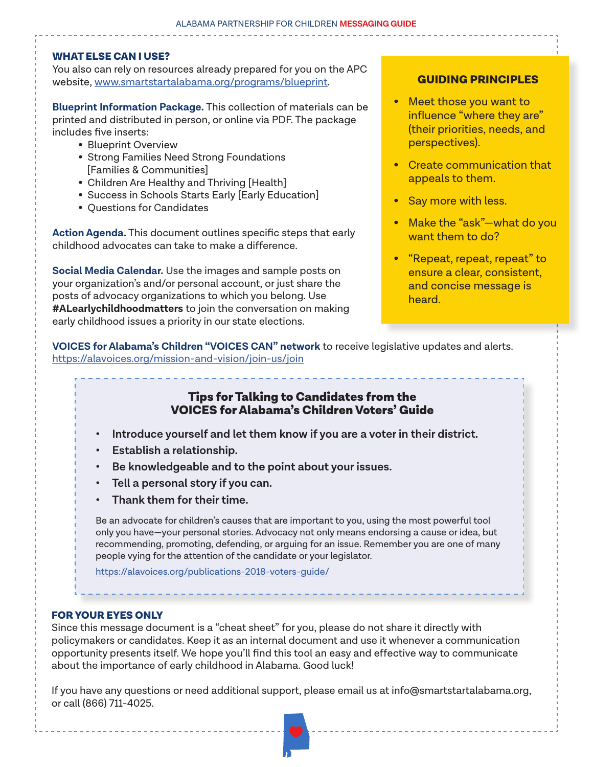## WHAT ELSE CAN I USE?

You also can rely on resources already prepared for you on the APC website, www.smartstartalabama.org/programs/blueprint.

**Blueprint Information Package.** This collection of materials can be printed and distributed in person, or online via PDF. The package includes five inserts:

- Blueprint Overview
- Strong Families Need Strong Foundations [Families & Communities]
- Children Are Healthy and Thriving [Health]
- Success in Schools Starts Early [Early Education]
- Questions for Candidates

**Action Agenda.** This document outlines specific steps that early childhood advocates can take to make a difference.

**Social Media Calendar.** Use the images and sample posts on your organization's and/or personal account, or just share the posts of advocacy organizations to which you belong. Use **#ALearlychildhoodmatters** to join the conversation on making early childhood issues a priority in our state elections.

# GUIDING PRINCIPLES

- Meet those you want to influence "where they are" (their priorities, needs, and perspectives).
- Create communication that appeals to them.
- Say more with less.
- Make the "ask"-what do you want them to do?
- "Repeat, repeat, repeat" to ensure a clear, consistent, and concise message is heard.

**VOICES for Alabama's Children "VOICES CAN" network** to receive legislative updates and alerts. https://alavoices.org/mission-and-vision/join-us/join

# Tips for Talking to Candidates from the VOICES for Alabama's Children Voters' Guide

- **• Introduce yourself and let them know if you are a voter in their district.**
- **• Establish a relationship.**
- **• Be knowledgeable and to the point about your issues.**
- **• Tell a personal story if you can.**
- **• Thank them for their time.**

Be an advocate for children's causes that are important to you, using the most powerful tool only you have—your personal stories. Advocacy not only means endorsing a cause or idea, but recommending, promoting, defending, or arguing for an issue. Remember you are one of many people vying for the attention of the candidate or your legislator.

https://alavoices.org/publications-2018-voters-guide/

# FOR YOUR EYES ONLY

Since this message document is a "cheat sheet" for you, please do not share it directly with policymakers or candidates. Keep it as an internal document and use it whenever a communication opportunity presents itself. We hope you'll find this tool an easy and effective way to communicate about the importance of early childhood in Alabama. Good luck!

If you have any questions or need additional support, please email us at info@smartstartalabama.org, or call (866) 711-4025.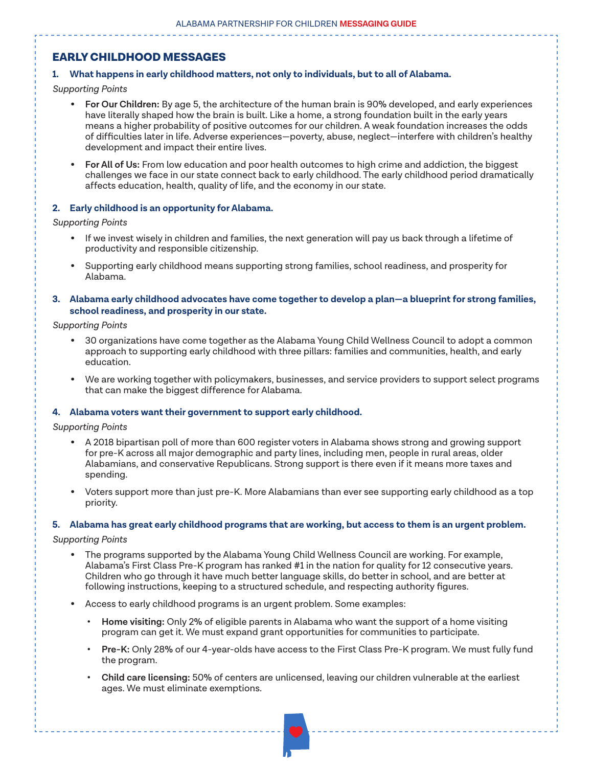# EARLY CHILDHOOD MESSAGES

## **1. What happens in early childhood matters, not only to individuals, but to all of Alabama.**

#### *Supporting Points*

- **For Our Children:** By age 5, the architecture of the human brain is 90% developed, and early experiences have literally shaped how the brain is built. Like a home, a strong foundation built in the early years means a higher probability of positive outcomes for our children. A weak foundation increases the odds of difficulties later in life. Adverse experiences—poverty, abuse, neglect—interfere with children's healthy development and impact their entire lives.
- **For All of Us:** From low education and poor health outcomes to high crime and addiction, the biggest challenges we face in our state connect back to early childhood. The early childhood period dramatically affects education, health, quality of life, and the economy in our state.

## **2. Early childhood is an opportunity for Alabama.**

#### *Supporting Points*

- If we invest wisely in children and families, the next generation will pay us back through a lifetime of productivity and responsible citizenship.
- Supporting early childhood means supporting strong families, school readiness, and prosperity for Alabama.
- **3. Alabama early childhood advocates have come together to develop a plan—a blueprint for strong families, school readiness, and prosperity in our state.**

### *Supporting Points*

- 30 organizations have come together as the Alabama Young Child Wellness Council to adopt a common approach to supporting early childhood with three pillars: families and communities, health, and early education.
- We are working together with policymakers, businesses, and service providers to support select programs that can make the biggest difference for Alabama.

## **4. Alabama voters want their government to support early childhood.**

#### *Supporting Points*

- A 2018 bipartisan poll of more than 600 register voters in Alabama shows strong and growing support for pre-K across all major demographic and party lines, including men, people in rural areas, older Alabamians, and conservative Republicans. Strong support is there even if it means more taxes and spending.
- Voters support more than just pre-K. More Alabamians than ever see supporting early childhood as a top priority.

## **5. Alabama has great early childhood programs that are working, but access to them is an urgent problem.**

#### *Supporting Points*

- The programs supported by the Alabama Young Child Wellness Council are working. For example, Alabama's First Class Pre-K program has ranked #1 in the nation for quality for 12 consecutive years. Children who go through it have much better language skills, do better in school, and are better at following instructions, keeping to a structured schedule, and respecting authority figures.
- Access to early childhood programs is an urgent problem. Some examples:
	- **• Home visiting:** Only 2% of eligible parents in Alabama who want the support of a home visiting program can get it. We must expand grant opportunities for communities to participate.
	- **• Pre-K:** Only 28% of our 4-year-olds have access to the First Class Pre-K program. We must fully fund the program.
	- **• Child care licensing:** 50% of centers are unlicensed, leaving our children vulnerable at the earliest ages. We must eliminate exemptions.